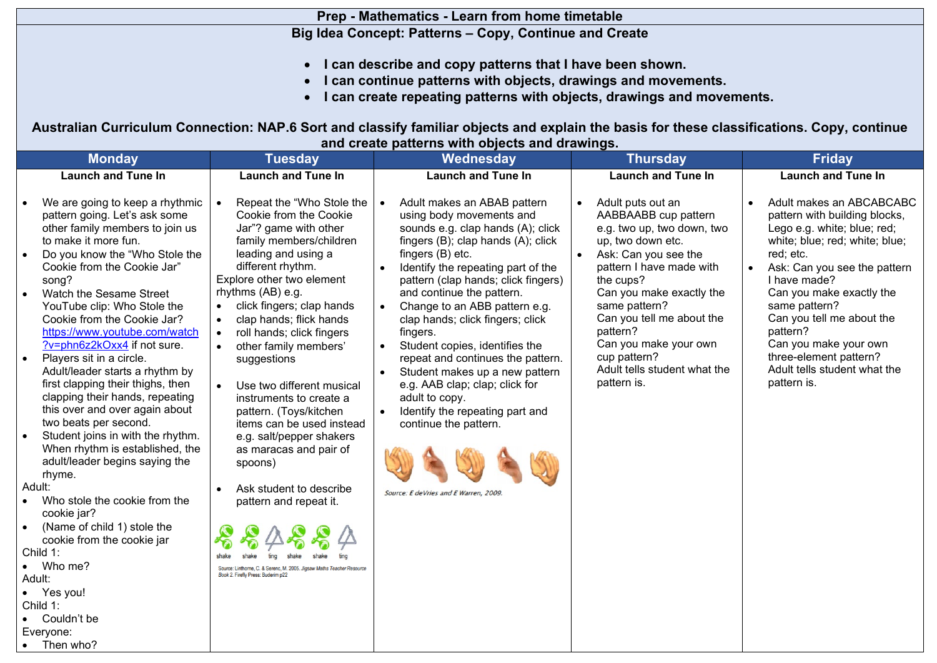## **Prep - Mathematics - Learn from home timetable**

## **Big Idea Concept: Patterns – Copy, Continue and Create**

- **I can describe and copy patterns that I have been shown.**
- **I can continue patterns with objects, drawings and movements.**
- **I can create repeating patterns with objects, drawings and movements.**

**Australian Curriculum Connection: NAP.6 Sort and classify familiar objects and explain the basis for these classifications. Copy, continue and create patterns with objects and drawings.**

|           | <b>Monday</b>                                                                                                                                                               |                                     | <b>Tuesday</b>                                                                                                       |                        | Wednesday                                                                                                                                                 |           | <b>Thursday</b>                                                                              | <b>Friday</b>                                                                                                              |
|-----------|-----------------------------------------------------------------------------------------------------------------------------------------------------------------------------|-------------------------------------|----------------------------------------------------------------------------------------------------------------------|------------------------|-----------------------------------------------------------------------------------------------------------------------------------------------------------|-----------|----------------------------------------------------------------------------------------------|----------------------------------------------------------------------------------------------------------------------------|
|           | <b>Launch and Tune In</b>                                                                                                                                                   |                                     | <b>Launch and Tune In</b>                                                                                            |                        | <b>Launch and Tune In</b>                                                                                                                                 |           | <b>Launch and Tune In</b>                                                                    | <b>Launch and Tune In</b>                                                                                                  |
|           | We are going to keep a rhythmic<br>pattern going. Let's ask some<br>other family members to join us<br>to make it more fun.                                                 | $\bullet$                           | Repeat the "Who Stole the<br>Cookie from the Cookie<br>Jar"? game with other<br>family members/children              | $\bullet$              | Adult makes an ABAB pattern<br>using body movements and<br>sounds e.g. clap hands (A); click<br>fingers (B); clap hands (A); click                        | $\bullet$ | Adult puts out an<br>AABBAABB cup pattern<br>e.g. two up, two down, two<br>up, two down etc. | Adult makes an ABCABCABC<br>pattern with building blocks,<br>Lego e.g. white; blue; red;<br>white; blue; red; white; blue; |
|           | Do you know the "Who Stole the<br>Cookie from the Cookie Jar"<br>song?                                                                                                      |                                     | leading and using a<br>different rhythm.<br>Explore other two element                                                | $\bullet$              | fingers (B) etc.<br>Identify the repeating part of the<br>pattern (clap hands; click fingers)                                                             |           | Ask: Can you see the<br>pattern I have made with<br>the cups?                                | red; etc.<br>Ask: Can you see the pattern<br>I have made?                                                                  |
|           | Watch the Sesame Street<br>YouTube clip: Who Stole the<br>Cookie from the Cookie Jar?<br>https://www.youtube.com/watch                                                      | $\bullet$<br>$\bullet$<br>$\bullet$ | rhythms (AB) e.g.<br>click fingers; clap hands<br>clap hands; flick hands<br>roll hands; click fingers               | $\bullet$              | and continue the pattern.<br>Change to an ABB pattern e.g.<br>clap hands; click fingers; click<br>fingers.                                                |           | Can you make exactly the<br>same pattern?<br>Can you tell me about the<br>pattern?           | Can you make exactly the<br>same pattern?<br>Can you tell me about the<br>pattern?                                         |
| $\bullet$ | ?v=phn6z2kOxx4 if not sure.<br>Players sit in a circle.<br>Adult/leader starts a rhythm by<br>first clapping their thighs, then<br>clapping their hands, repeating          | $\bullet$                           | other family members'<br>suggestions<br>Use two different musical<br>instruments to create a                         | $\bullet$<br>$\bullet$ | Student copies, identifies the<br>repeat and continues the pattern.<br>Student makes up a new pattern<br>e.g. AAB clap; clap; click for<br>adult to copy. |           | Can you make your own<br>cup pattern?<br>Adult tells student what the<br>pattern is.         | Can you make your own<br>three-element pattern?<br>Adult tells student what the<br>pattern is.                             |
|           | this over and over again about<br>two beats per second.<br>Student joins in with the rhythm.<br>When rhythm is established, the<br>adult/leader begins saying the<br>rhyme. |                                     | pattern. (Toys/kitchen<br>items can be used instead<br>e.g. salt/pepper shakers<br>as maracas and pair of<br>spoons) | $\bullet$              | Identify the repeating part and<br>continue the pattern.                                                                                                  |           |                                                                                              |                                                                                                                            |
|           | Adult:<br>Who stole the cookie from the<br>cookie jar?                                                                                                                      | $\bullet$                           | Ask student to describe<br>pattern and repeat it.                                                                    |                        | Source: E deVries and E Warren, 2009.                                                                                                                     |           |                                                                                              |                                                                                                                            |
|           | (Name of child 1) stole the<br>cookie from the cookie jar<br>Child 1:                                                                                                       |                                     |                                                                                                                      |                        |                                                                                                                                                           |           |                                                                                              |                                                                                                                            |
| $\bullet$ | Who me?<br>Adult:<br>Yes you!                                                                                                                                               |                                     | Source: Linthorne, C. & Serenc, M. 2005. Jigsaw Maths Teacher Resource<br>Book 2. Firefly Press: Buderim p22         |                        |                                                                                                                                                           |           |                                                                                              |                                                                                                                            |
|           | Child 1:<br>Couldn't be                                                                                                                                                     |                                     |                                                                                                                      |                        |                                                                                                                                                           |           |                                                                                              |                                                                                                                            |
|           | Everyone:<br>Then who?                                                                                                                                                      |                                     |                                                                                                                      |                        |                                                                                                                                                           |           |                                                                                              |                                                                                                                            |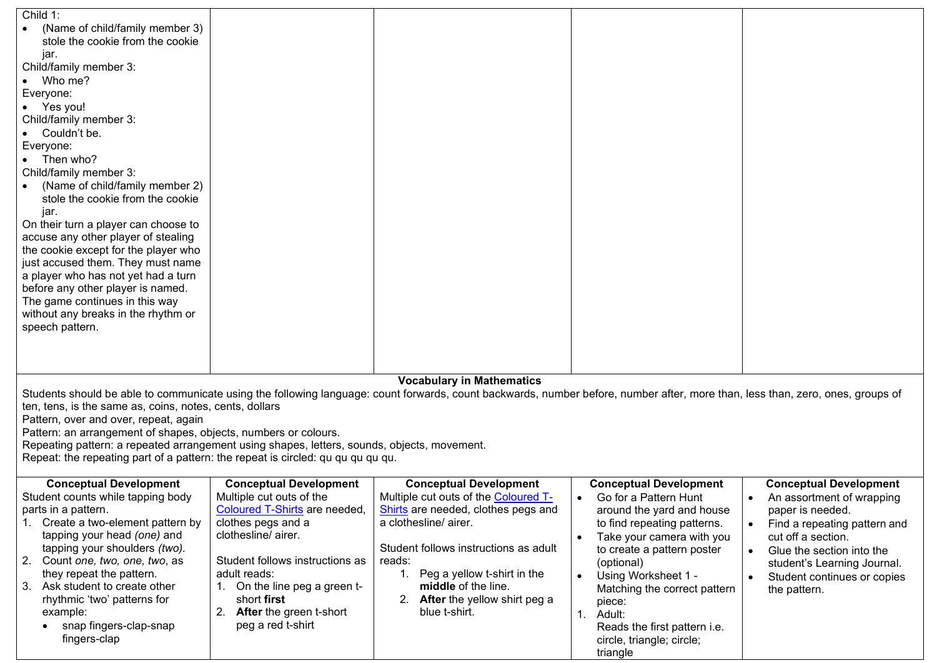| Child $1$ :<br>(Name of child/family member 3)<br>stole the cookie from the cookie<br>jar.<br>Child/family member 3:<br>Who me?<br>Everyone:<br>• Yes you!<br>Child/family member 3:<br>Couldn't be.<br>Everyone:<br>$\bullet$ Then who?<br>Child/family member 3:<br>(Name of child/family member 2)<br>stole the cookie from the cookie<br>jar.<br>On their turn a player can choose to<br>accuse any other player of stealing<br>the cookie except for the player who<br>just accused them. They must name<br>a player who has not yet had a turn<br>before any other player is named.<br>The game continues in this way<br>without any breaks in the rhythm or<br>speech pattern. |                                                                                                                                                                                                                                                                                                     |                                                                                                                                                                                                                                                                                                       |                                                                                                                                                                                                                                                                                                                                                                                                          |                                                                                                                                                                                                                                                                           |
|---------------------------------------------------------------------------------------------------------------------------------------------------------------------------------------------------------------------------------------------------------------------------------------------------------------------------------------------------------------------------------------------------------------------------------------------------------------------------------------------------------------------------------------------------------------------------------------------------------------------------------------------------------------------------------------|-----------------------------------------------------------------------------------------------------------------------------------------------------------------------------------------------------------------------------------------------------------------------------------------------------|-------------------------------------------------------------------------------------------------------------------------------------------------------------------------------------------------------------------------------------------------------------------------------------------------------|----------------------------------------------------------------------------------------------------------------------------------------------------------------------------------------------------------------------------------------------------------------------------------------------------------------------------------------------------------------------------------------------------------|---------------------------------------------------------------------------------------------------------------------------------------------------------------------------------------------------------------------------------------------------------------------------|
|                                                                                                                                                                                                                                                                                                                                                                                                                                                                                                                                                                                                                                                                                       |                                                                                                                                                                                                                                                                                                     |                                                                                                                                                                                                                                                                                                       |                                                                                                                                                                                                                                                                                                                                                                                                          |                                                                                                                                                                                                                                                                           |
|                                                                                                                                                                                                                                                                                                                                                                                                                                                                                                                                                                                                                                                                                       |                                                                                                                                                                                                                                                                                                     |                                                                                                                                                                                                                                                                                                       |                                                                                                                                                                                                                                                                                                                                                                                                          |                                                                                                                                                                                                                                                                           |
|                                                                                                                                                                                                                                                                                                                                                                                                                                                                                                                                                                                                                                                                                       |                                                                                                                                                                                                                                                                                                     |                                                                                                                                                                                                                                                                                                       |                                                                                                                                                                                                                                                                                                                                                                                                          |                                                                                                                                                                                                                                                                           |
|                                                                                                                                                                                                                                                                                                                                                                                                                                                                                                                                                                                                                                                                                       |                                                                                                                                                                                                                                                                                                     | <b>Vocabulary in Mathematics</b>                                                                                                                                                                                                                                                                      |                                                                                                                                                                                                                                                                                                                                                                                                          |                                                                                                                                                                                                                                                                           |
| ten, tens, is the same as, coins, notes, cents, dollars<br>Pattern, over and over, repeat, again<br>Pattern: an arrangement of shapes, objects, numbers or colours.<br>Repeating pattern: a repeated arrangement using shapes, letters, sounds, objects, movement.<br>Repeat: the repeating part of a pattern: the repeat is circled: qu qu qu qu qu.                                                                                                                                                                                                                                                                                                                                 |                                                                                                                                                                                                                                                                                                     | Students should be able to communicate using the following language: count forwards, count backwards, number before, number after, more than, less than, zero, ones, groups of                                                                                                                        |                                                                                                                                                                                                                                                                                                                                                                                                          |                                                                                                                                                                                                                                                                           |
| <b>Conceptual Development</b><br>Student counts while tapping body<br>parts in a pattern.<br>1. Create a two-element pattern by<br>tapping your head (one) and<br>tapping your shoulders (two).<br>2. Count one, two, one, two, as<br>they repeat the pattern.<br>3. Ask student to create other<br>rhythmic 'two' patterns for<br>example:<br>snap fingers-clap-snap<br>fingers-clap                                                                                                                                                                                                                                                                                                 | <b>Conceptual Development</b><br>Multiple cut outs of the<br><b>Coloured T-Shirts</b> are needed,<br>clothes pegs and a<br>clothesline/airer.<br>Student follows instructions as<br>adult reads:<br>1. On the line peg a green t-<br>short first<br>2. After the green t-short<br>peg a red t-shirt | <b>Conceptual Development</b><br>Multiple cut outs of the Coloured T-<br>Shirts are needed, clothes pegs and<br>a clothesline/ airer.<br>Student follows instructions as adult<br>reads:<br>1. Peg a yellow t-shirt in the<br>middle of the line.<br>2. After the yellow shirt peg a<br>blue t-shirt. | <b>Conceptual Development</b><br>Go for a Pattern Hunt<br>$\bullet$<br>around the yard and house<br>to find repeating patterns.<br>Take your camera with you<br>$\bullet$<br>to create a pattern poster<br>(optional)<br>Using Worksheet 1 -<br>$\bullet$<br>Matching the correct pattern<br>piece:<br>$\mathbf{1}$ .<br>Adult:<br>Reads the first pattern i.e.<br>circle, triangle; circle;<br>triangle | <b>Conceptual Development</b><br>An assortment of wrapping<br>$\bullet$<br>paper is needed.<br>Find a repeating pattern and<br>cut off a section.<br>Glue the section into the<br>$\bullet$<br>student's Learning Journal.<br>Student continues or copies<br>the pattern. |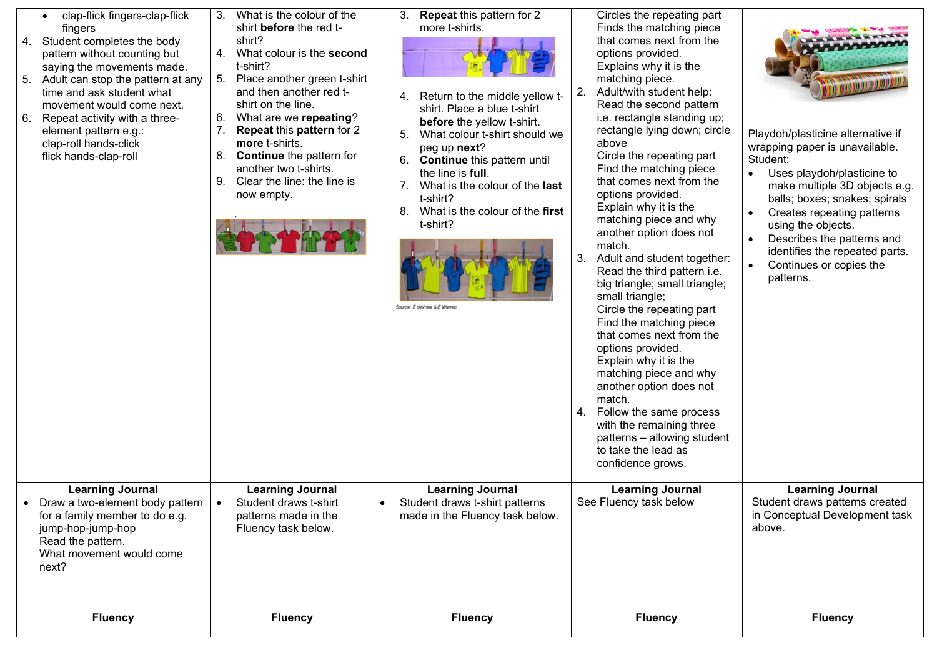| <b>Learning Journal</b><br><b>Learning Journal</b><br><b>Learning Journal</b><br><b>Learning Journal</b><br><b>Learning Journal</b><br>See Fluency task below<br>Student draws t-shirt<br>Student draws t-shirt patterns<br>Draw a two-element body pattern<br>$\bullet$<br>made in the Fluency task below.<br>for a family member to do e.g.<br>patterns made in the<br>Fluency task below.<br>above.<br>jump-hop-jump-hop<br>Read the pattern.<br>What movement would come<br>next?<br><b>Fluency</b><br><b>Fluency</b><br><b>Fluency</b><br><b>Fluency</b><br><b>Fluency</b> | clap-flick fingers-clap-flick<br>$\bullet$<br>fingers<br>Student completes the body<br>4.<br>pattern without counting but<br>saying the movements made.<br>5. Adult can stop the pattern at any<br>time and ask student what<br>movement would come next.<br>6.<br>Repeat activity with a three-<br>element pattern e.g.:<br>clap-roll hands-click<br>flick hands-clap-roll | What is the colour of the<br>3.<br>shirt before the red t-<br>shirt?<br>4.<br>What colour is the second<br>t-shirt?<br>5. Place another green t-shirt<br>and then another red t-<br>shirt on the line.<br>6. What are we repeating?<br>7.<br>Repeat this pattern for 2<br>more t-shirts.<br>8.<br><b>Continue</b> the pattern for<br>another two t-shirts.<br>Clear the line: the line is<br>9.<br>now empty. | <b>Repeat this pattern for 2</b><br>3.<br>more t-shirts.<br>Return to the middle yellow t-<br>4.<br>shirt. Place a blue t-shirt<br>before the yellow t-shirt.<br>What colour t-shirt should we<br>5.<br>peg up next?<br>6.<br><b>Continue</b> this pattern until<br>the line is full.<br>What is the colour of the last<br>7.<br>t-shirt?<br>What is the colour of the first<br>8.<br>t-shirt?<br>Source: E deVries & E Warren | Circles the repeating part<br>Finds the matching piece<br>that comes next from the<br>options provided.<br>Explains why it is the<br>matching piece.<br>2.<br>Adult/with student help:<br>Read the second pattern<br>i.e. rectangle standing up;<br>rectangle lying down; circle<br>above<br>Circle the repeating part<br>Find the matching piece<br>that comes next from the<br>options provided.<br>Explain why it is the<br>matching piece and why<br>another option does not<br>match.<br>3.<br>Adult and student together:<br>Read the third pattern i.e.<br>big triangle; small triangle;<br>small triangle;<br>Circle the repeating part<br>Find the matching piece<br>that comes next from the<br>options provided.<br>Explain why it is the<br>matching piece and why<br>another option does not<br>match.<br>4.<br>Follow the same process<br>with the remaining three<br>patterns - allowing student<br>to take the lead as<br>confidence grows. | Playdoh/plasticine alternative if<br>wrapping paper is unavailable.<br>Student:<br>Uses playdoh/plasticine to<br>make multiple 3D objects e.g.<br>balls; boxes; snakes; spirals<br>Creates repeating patterns<br>using the objects.<br>Describes the patterns and<br>identifies the repeated parts.<br>Continues or copies the<br>patterns. |
|---------------------------------------------------------------------------------------------------------------------------------------------------------------------------------------------------------------------------------------------------------------------------------------------------------------------------------------------------------------------------------------------------------------------------------------------------------------------------------------------------------------------------------------------------------------------------------|-----------------------------------------------------------------------------------------------------------------------------------------------------------------------------------------------------------------------------------------------------------------------------------------------------------------------------------------------------------------------------|---------------------------------------------------------------------------------------------------------------------------------------------------------------------------------------------------------------------------------------------------------------------------------------------------------------------------------------------------------------------------------------------------------------|--------------------------------------------------------------------------------------------------------------------------------------------------------------------------------------------------------------------------------------------------------------------------------------------------------------------------------------------------------------------------------------------------------------------------------|-------------------------------------------------------------------------------------------------------------------------------------------------------------------------------------------------------------------------------------------------------------------------------------------------------------------------------------------------------------------------------------------------------------------------------------------------------------------------------------------------------------------------------------------------------------------------------------------------------------------------------------------------------------------------------------------------------------------------------------------------------------------------------------------------------------------------------------------------------------------------------------------------------------------------------------------------------------|---------------------------------------------------------------------------------------------------------------------------------------------------------------------------------------------------------------------------------------------------------------------------------------------------------------------------------------------|
|                                                                                                                                                                                                                                                                                                                                                                                                                                                                                                                                                                                 |                                                                                                                                                                                                                                                                                                                                                                             |                                                                                                                                                                                                                                                                                                                                                                                                               |                                                                                                                                                                                                                                                                                                                                                                                                                                |                                                                                                                                                                                                                                                                                                                                                                                                                                                                                                                                                                                                                                                                                                                                                                                                                                                                                                                                                             | Student draws patterns created<br>in Conceptual Development task                                                                                                                                                                                                                                                                            |
|                                                                                                                                                                                                                                                                                                                                                                                                                                                                                                                                                                                 |                                                                                                                                                                                                                                                                                                                                                                             |                                                                                                                                                                                                                                                                                                                                                                                                               |                                                                                                                                                                                                                                                                                                                                                                                                                                |                                                                                                                                                                                                                                                                                                                                                                                                                                                                                                                                                                                                                                                                                                                                                                                                                                                                                                                                                             |                                                                                                                                                                                                                                                                                                                                             |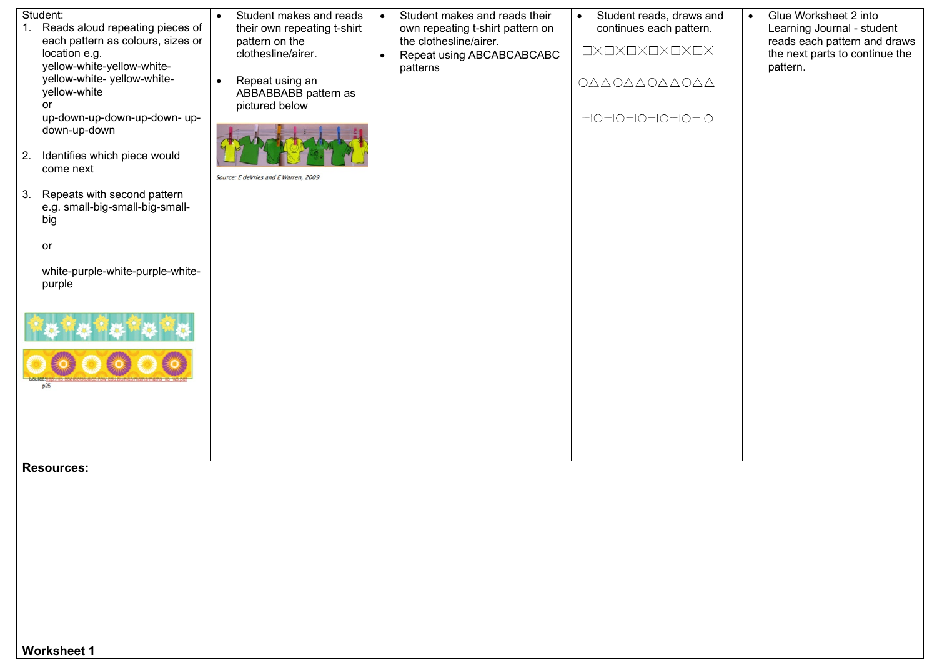| 2.<br>3. | Student:<br>Reads aloud repeating pieces of<br>each pattern as colours, sizes or<br>location e.g.<br>yellow-white-yellow-white-<br>yellow-white- yellow-white-<br>yellow-white<br><b>or</b><br>up-down-up-down-up-down- up-<br>down-up-down<br>Identifies which piece would<br>come next<br>Repeats with second pattern<br>e.g. small-big-small-big-small-<br>big<br>or<br>white-purple-white-purple-white-<br>purple<br>p25 | Student makes and reads<br>$\bullet$<br>their own repeating t-shirt<br>pattern on the<br>clothesline/airer.<br>Repeat using an<br>$\bullet$<br>ABBABBABB pattern as<br>pictured below<br>Source: E deVries and E Warren, 2009 | Student makes and reads their<br>$\bullet$<br>own repeating t-shirt pattern on<br>the clothesline/airer.<br>Repeat using ABCABCABCABC<br>$\bullet$<br>patterns | Student reads, draws and<br>$\bullet$<br>continues each pattern.<br>$\square{\times}\square{\times}\square{\times}\square{\times}\square{\times}\square{\times}$<br>ΟΔΔΟΔΔΟΔΔΟΔΔ<br>$-10-10-10-10-10-10$ | $\bullet$ | Glue Worksheet 2 into<br>Learning Journal - student<br>reads each pattern and draws<br>the next parts to continue the<br>pattern. |
|----------|------------------------------------------------------------------------------------------------------------------------------------------------------------------------------------------------------------------------------------------------------------------------------------------------------------------------------------------------------------------------------------------------------------------------------|-------------------------------------------------------------------------------------------------------------------------------------------------------------------------------------------------------------------------------|----------------------------------------------------------------------------------------------------------------------------------------------------------------|----------------------------------------------------------------------------------------------------------------------------------------------------------------------------------------------------------|-----------|-----------------------------------------------------------------------------------------------------------------------------------|
|          |                                                                                                                                                                                                                                                                                                                                                                                                                              |                                                                                                                                                                                                                               |                                                                                                                                                                |                                                                                                                                                                                                          |           |                                                                                                                                   |

**Resources:**